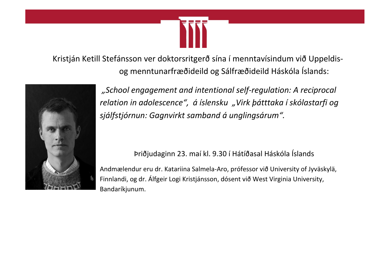

 Kristján Ketill Stefánsson ver doktorsritgerð sína í menntavísindum við Uppeldisog menntunarfræðideild og Sálfræðideild Háskóla Íslands:



*"School engagement and intentional self-regulation: A reciprocal relation in adolescence", á íslensku "Virk þátttaka í skólastarfi og sjálfstjórnun: Gagnvirkt samband á unglingsárum".*

# Þriðjudaginn 23. maí kl. 9.30 í Hátíðasal Háskóla Íslands

Andmælendur eru dr. Katariina Salmela-Aro, prófessor við University of Jyväskylä, Finnlandi, og dr. Álfgeir Logi Kristjánsson, dósent við West Virginia University, Bandaríkjunum.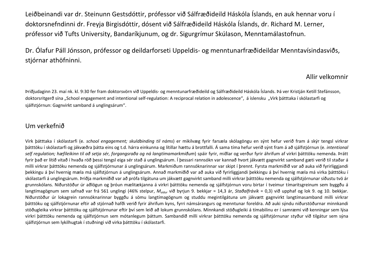Leiðbeinandi var dr. Steinunn Gestsdóttir, prófessor við Sálfræðideild Háskóla Íslands, en auk hennar voru í doktorsnefndinni dr. Freyja Birgisdóttir, dósent við Sálfræðideild Háskóla Íslands, dr. Richard M. Lerner, prófessor við Tufts University, Bandaríkjunum, og dr. Sigurgrímur Skúlason, Menntamálastofnun.

Dr. Ólafur Páll Jónsson, prófessor og deildarforseti Uppeldis- og menntunarfræðideildar Menntavísindasviðs, stjórnar athöfninni.

#### Allir velkomnir

Þriðjudaginn 23. maí nk. kl. 9:30 fer fram doktorsvörn við Uppeldis- og menntunarfræðideild og Sálfræðideild Háskóla Íslands. Þá ver Kristján Ketill Stefánsson, doktorsritgerð sína "School engagement and intentional self-regulation: A reciprocal relation in adolescence", á íslensku "Virk þátttaka í skólastarfi og sjálfstjórnun: Gagnvirkt samband á unglingsárum".

### Um verkefnið

Virk þátttaka í skólastarfi (e. *school engagement; skuldbinding til náms*) er mikilvæg fyrir farsæla skólagöngu en sýnt hefur verið fram á skýr tengsl virkrar þátttöku í skólastarfi og jákvæðra þátta eins og t.d. hárra einkunna og lítillar hættu á brottfalli. Á sama tíma hefur verið sýnt fram á að sjálfstjórnun (e. *intentional self regulation; hæfileikinn til að setja sér, forgangsraða og ná langtímamarkmiðum*) spáir fyrir, miðlar og verður fyrir áhrifum af virkri þátttöku nemenda. Þrátt fyrir það er lítið vitað í hvaða röð þessi tengsl eiga sér stað á unglingsárum. Í þessari rannsókn var kannað hvort jákvætt gagnvirkt samband gæti verið til staðar á milli virkrar þátttöku nemenda og sjálfstjórnunar á unglingsárum. Markmiðum rannsóknarinnar var skipt í þrennt. Fyrsta markmiðið var að auka við fyrirliggjandi þekkingu á því hvernig mæla má sjálfstjórnun á unglingsárum. Annað markmiðið var að auka við fyrirliggjandi þekkingu á því hvernig mæla má virka þátttöku í skólastarfi á unglingsárum. Þriðja markmiðið var að prófa tilgátuna um jákvætt gagnvirkt samband milli virkrar þátttöku nemenda og sjálfstjórnunar síðustu tvö ár grunnskólans. Niðurstöður úr aðlögun og þróun mælitækjanna á virkri þátttöku nemenda og sjálfstjórnun voru birtar í tveimur tímaritsgreinum sem byggðu á langtímagögnum sem safnað var frá 561 unglingi (46% stelpur, *Maldur* við byrjun 9. bekkjar = 14,3 ár, *Staðalfrávik* = 0,3) við upphaf og lok 9. og 10. bekkjar. Niðurstöður úr lokagrein rannsóknarinnar byggðu á sömu langtímagögnum og studdu megintilgátuna um jákvætt gagnvirkt langtímasamband milli virkrar þátttöku og sjálfstjórnunar eftir að stjórnað hafði verið fyrir áhrifum kyns, fyrri námsárangurs og menntunar foreldra. Að auki sýndu niðurstöðurnar minnkandi stöðugleika virkrar þátttöku og sjálfstjórnunar eftir því sem leið að lokum grunnskólans. Minnkandi stöðugleiki á tímabilinu er í samræmi við kenningar sem lýsa virkri þátttöku nemenda og sjálfstjórnun sem mótanlegum þáttum. Sambandið milli virkrar þátttöku nemenda og sjálfstjórnunar styður við tilgátur sem sýna sjálfstjórnun sem lykilhugtak í stuðningi við virka þátttöku í skólastarfi.